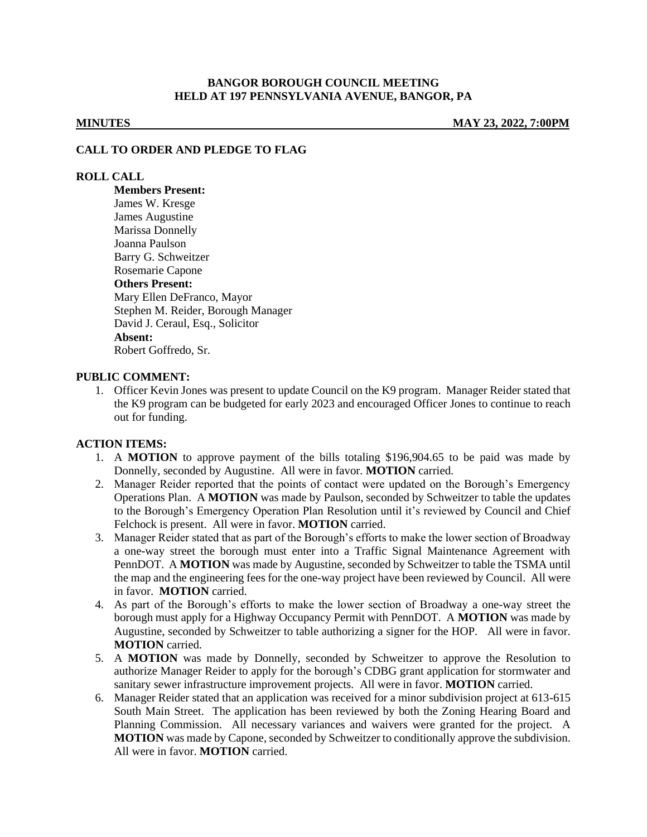## **BANGOR BOROUGH COUNCIL MEETING HELD AT 197 PENNSYLVANIA AVENUE, BANGOR, PA**

**MINUTES MAY 23, 2022, 7:00PM**

### **CALL TO ORDER AND PLEDGE TO FLAG**

### **ROLL CALL**

**Members Present:** James W. Kresge James Augustine Marissa Donnelly Joanna Paulson Barry G. Schweitzer Rosemarie Capone **Others Present:** Mary Ellen DeFranco, Mayor Stephen M. Reider, Borough Manager David J. Ceraul, Esq., Solicitor **Absent:** Robert Goffredo, Sr.

## **PUBLIC COMMENT:**

1. Officer Kevin Jones was present to update Council on the K9 program. Manager Reider stated that the K9 program can be budgeted for early 2023 and encouraged Officer Jones to continue to reach out for funding.

#### **ACTION ITEMS:**

- 1. A **MOTION** to approve payment of the bills totaling \$196,904.65 to be paid was made by Donnelly, seconded by Augustine. All were in favor. **MOTION** carried.
- 2. Manager Reider reported that the points of contact were updated on the Borough's Emergency Operations Plan. A **MOTION** was made by Paulson, seconded by Schweitzer to table the updates to the Borough's Emergency Operation Plan Resolution until it's reviewed by Council and Chief Felchock is present. All were in favor. **MOTION** carried.
- 3. Manager Reider stated that as part of the Borough's efforts to make the lower section of Broadway a one-way street the borough must enter into a Traffic Signal Maintenance Agreement with PennDOT. A **MOTION** was made by Augustine, seconded by Schweitzer to table the TSMA until the map and the engineering fees for the one-way project have been reviewed by Council. All were in favor. **MOTION** carried.
- 4. As part of the Borough's efforts to make the lower section of Broadway a one-way street the borough must apply for a Highway Occupancy Permit with PennDOT. A **MOTION** was made by Augustine, seconded by Schweitzer to table authorizing a signer for the HOP. All were in favor. **MOTION** carried.
- 5. A **MOTION** was made by Donnelly, seconded by Schweitzer to approve the Resolution to authorize Manager Reider to apply for the borough's CDBG grant application for stormwater and sanitary sewer infrastructure improvement projects. All were in favor. **MOTION** carried.
- 6. Manager Reider stated that an application was received for a minor subdivision project at 613-615 South Main Street. The application has been reviewed by both the Zoning Hearing Board and Planning Commission. All necessary variances and waivers were granted for the project. A **MOTION** was made by Capone, seconded by Schweitzer to conditionally approve the subdivision. All were in favor. **MOTION** carried.